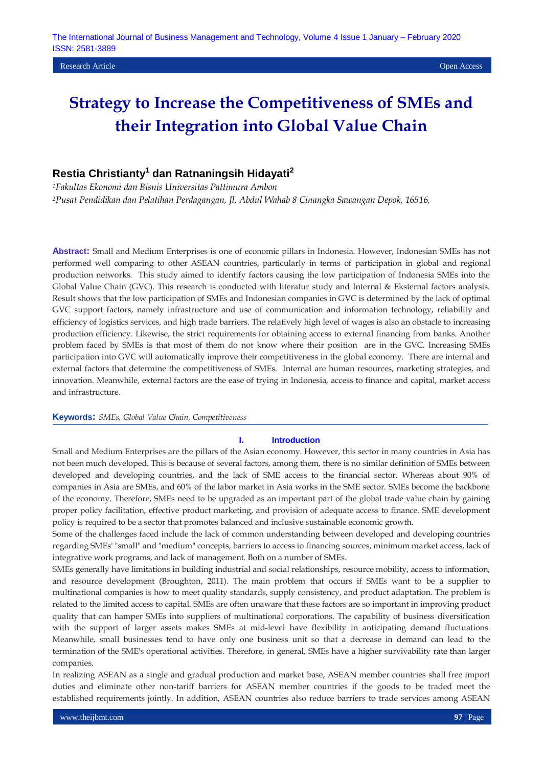**Research Article Open Access Contract Contract Contract Contract Contract Contract Contract Contract Contract Contract Contract Contract Contract Contract Contract Contract Contract Contract Contract Contract Contract C** 

# **Strategy to Increase the Competitiveness of SMEs and their Integration into Global Value Chain**

## **Restia Christianty<sup>1</sup> dan Ratnaningsih Hidayati<sup>2</sup>**

*<sup>1</sup>Fakultas Ekonomi dan Bisnis Universitas Pattimura Ambon <sup>2</sup>Pusat Pendidikan dan Pelatihan Perdagangan, Jl. Abdul Wahab 8 Cinangka Sawangan Depok, 16516,* 

**Abstract:** Small and Medium Enterprises is one of economic pillars in Indonesia. However, Indonesian SMEs has not performed well comparing to other ASEAN countries, particularly in terms of participation in global and regional production networks. This study aimed to identify factors causing the low participation of Indonesia SMEs into the Global Value Chain (GVC). This research is conducted with literatur study and Internal & Eksternal factors analysis. Result shows that the low participation of SMEs and Indonesian companies in GVC is determined by the lack of optimal GVC support factors, namely infrastructure and use of communication and information technology, reliability and efficiency of logistics services, and high trade barriers. The relatively high level of wages is also an obstacle to increasing production efficiency. Likewise, the strict requirements for obtaining access to external financing from banks. Another problem faced by SMEs is that most of them do not know where their position are in the GVC. Increasing SMEs participation into GVC will automatically improve their competitiveness in the global economy. There are internal and external factors that determine the competitiveness of SMEs. Internal are human resources, marketing strategies, and innovation. Meanwhile, external factors are the ease of trying in Indonesia, access to finance and capital, market access and infrastructure.

#### **Keywords:** *SMEs, Global Value Chain, Competitiveness*

#### **I. Introduction**

Small and Medium Enterprises are the pillars of the Asian economy. However, this sector in many countries in Asia has not been much developed. This is because of several factors, among them, there is no similar definition of SMEs between developed and developing countries, and the lack of SME access to the financial sector. Whereas about 90% of companies in Asia are SMEs, and 60% of the labor market in Asia works in the SME sector. SMEs become the backbone of the economy. Therefore, SMEs need to be upgraded as an important part of the global trade value chain by gaining proper policy facilitation, effective product marketing, and provision of adequate access to finance. SME development policy is required to be a sector that promotes balanced and inclusive sustainable economic growth.

Some of the challenges faced include the lack of common understanding between developed and developing countries regarding SMEs' "small" and "medium" concepts, barriers to access to financing sources, minimum market access, lack of integrative work programs, and lack of management. Both on a number of SMEs.

SMEs generally have limitations in building industrial and social relationships, resource mobility, access to information, and resource development (Broughton, 2011). The main problem that occurs if SMEs want to be a supplier to multinational companies is how to meet quality standards, supply consistency, and product adaptation. The problem is related to the limited access to capital. SMEs are often unaware that these factors are so important in improving product quality that can hamper SMEs into suppliers of multinational corporations. The capability of business diversification with the support of larger assets makes SMEs at mid-level have flexibility in anticipating demand fluctuations. Meanwhile, small businesses tend to have only one business unit so that a decrease in demand can lead to the termination of the SME's operational activities. Therefore, in general, SMEs have a higher survivability rate than larger companies.

In realizing ASEAN as a single and gradual production and market base, ASEAN member countries shall free import duties and eliminate other non-tariff barriers for ASEAN member countries if the goods to be traded meet the established requirements jointly. In addition, ASEAN countries also reduce barriers to trade services among ASEAN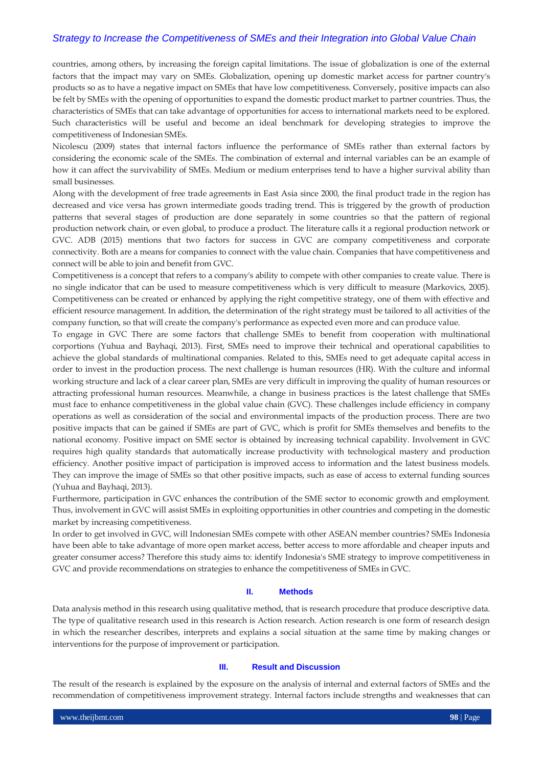countries, among others, by increasing the foreign capital limitations. The issue of globalization is one of the external factors that the impact may vary on SMEs. Globalization, opening up domestic market access for partner country's products so as to have a negative impact on SMEs that have low competitiveness. Conversely, positive impacts can also be felt by SMEs with the opening of opportunities to expand the domestic product market to partner countries. Thus, the characteristics of SMEs that can take advantage of opportunities for access to international markets need to be explored. Such characteristics will be useful and become an ideal benchmark for developing strategies to improve the competitiveness of Indonesian SMEs.

Nicolescu (2009) states that internal factors influence the performance of SMEs rather than external factors by considering the economic scale of the SMEs. The combination of external and internal variables can be an example of how it can affect the survivability of SMEs. Medium or medium enterprises tend to have a higher survival ability than small businesses.

Along with the development of free trade agreements in East Asia since 2000, the final product trade in the region has decreased and vice versa has grown intermediate goods trading trend. This is triggered by the growth of production patterns that several stages of production are done separately in some countries so that the pattern of regional production network chain, or even global, to produce a product. The literature calls it a regional production network or GVC. ADB (2015) mentions that two factors for success in GVC are company competitiveness and corporate connectivity. Both are a means for companies to connect with the value chain. Companies that have competitiveness and connect will be able to join and benefit from GVC.

Competitiveness is a concept that refers to a company's ability to compete with other companies to create value. There is no single indicator that can be used to measure competitiveness which is very difficult to measure (Markovics, 2005). Competitiveness can be created or enhanced by applying the right competitive strategy, one of them with effective and efficient resource management. In addition, the determination of the right strategy must be tailored to all activities of the company function, so that will create the company's performance as expected even more and can produce value.

To engage in GVC There are some factors that challenge SMEs to benefit from cooperation with multinational corportions (Yuhua and Bayhaqi, 2013). First, SMEs need to improve their technical and operational capabilities to achieve the global standards of multinational companies. Related to this, SMEs need to get adequate capital access in order to invest in the production process. The next challenge is human resources (HR). With the culture and informal working structure and lack of a clear career plan, SMEs are very difficult in improving the quality of human resources or attracting professional human resources. Meanwhile, a change in business practices is the latest challenge that SMEs must face to enhance competitiveness in the global value chain (GVC). These challenges include efficiency in company operations as well as consideration of the social and environmental impacts of the production process. There are two positive impacts that can be gained if SMEs are part of GVC, which is profit for SMEs themselves and benefits to the national economy. Positive impact on SME sector is obtained by increasing technical capability. Involvement in GVC requires high quality standards that automatically increase productivity with technological mastery and production efficiency. Another positive impact of participation is improved access to information and the latest business models. They can improve the image of SMEs so that other positive impacts, such as ease of access to external funding sources (Yuhua and Bayhaqi, 2013).

Furthermore, participation in GVC enhances the contribution of the SME sector to economic growth and employment. Thus, involvement in GVC will assist SMEs in exploiting opportunities in other countries and competing in the domestic market by increasing competitiveness.

In order to get involved in GVC, will Indonesian SMEs compete with other ASEAN member countries? SMEs Indonesia have been able to take advantage of more open market access, better access to more affordable and cheaper inputs and greater consumer access? Therefore this study aims to: identify Indonesia's SME strategy to improve competitiveness in GVC and provide recommendations on strategies to enhance the competitiveness of SMEs in GVC.

#### **II. Methods**

Data analysis method in this research using qualitative method, that is research procedure that produce descriptive data. The type of qualitative research used in this research is Action research. Action research is one form of research design in which the researcher describes, interprets and explains a social situation at the same time by making changes or interventions for the purpose of improvement or participation.

#### **III. Result and Discussion**

The result of the research is explained by the exposure on the analysis of internal and external factors of SMEs and the recommendation of competitiveness improvement strategy. Internal factors include strengths and weaknesses that can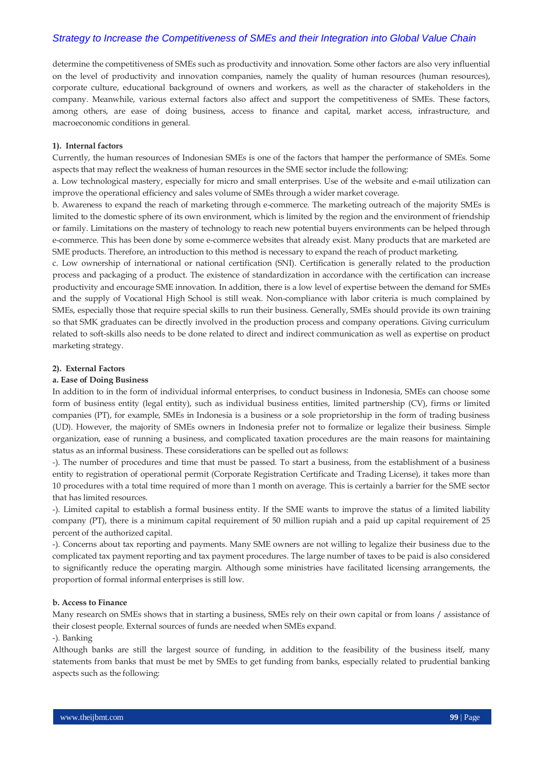determine the competitiveness of SMEs such as productivity and innovation. Some other factors are also very influential on the level of productivity and innovation companies, namely the quality of human resources (human resources), corporate culture, educational background of owners and workers, as well as the character of stakeholders in the company. Meanwhile, various external factors also affect and support the competitiveness of SMEs. These factors, among others, are ease of doing business, access to finance and capital, market access, infrastructure, and macroeconomic conditions in general.

#### **1). Internal factors**

Currently, the human resources of Indonesian SMEs is one of the factors that hamper the performance of SMEs. Some aspects that may reflect the weakness of human resources in the SME sector include the following:

a. Low technological mastery, especially for micro and small enterprises. Use of the website and e-mail utilization can improve the operational efficiency and sales volume of SMEs through a wider market coverage.

b. Awareness to expand the reach of marketing through e-commerce. The marketing outreach of the majority SMEs is limited to the domestic sphere of its own environment, which is limited by the region and the environment of friendship or family. Limitations on the mastery of technology to reach new potential buyers environments can be helped through e-commerce. This has been done by some e-commerce websites that already exist. Many products that are marketed are SME products. Therefore, an introduction to this method is necessary to expand the reach of product marketing.

c. Low ownership of international or national certification (SNI). Certification is generally related to the production process and packaging of a product. The existence of standardization in accordance with the certification can increase productivity and encourage SME innovation. In addition, there is a low level of expertise between the demand for SMEs and the supply of Vocational High School is still weak. Non-compliance with labor criteria is much complained by SMEs, especially those that require special skills to run their business. Generally, SMEs should provide its own training so that SMK graduates can be directly involved in the production process and company operations. Giving curriculum related to soft-skills also needs to be done related to direct and indirect communication as well as expertise on product marketing strategy.

#### **2). External Factors**

#### **a. Ease of Doing Business**

In addition to in the form of individual informal enterprises, to conduct business in Indonesia, SMEs can choose some form of business entity (legal entity), such as individual business entities, limited partnership (CV), firms or limited companies (PT), for example, SMEs in Indonesia is a business or a sole proprietorship in the form of trading business (UD). However, the majority of SMEs owners in Indonesia prefer not to formalize or legalize their business. Simple organization, ease of running a business, and complicated taxation procedures are the main reasons for maintaining status as an informal business. These considerations can be spelled out as follows:

-). The number of procedures and time that must be passed. To start a business, from the establishment of a business entity to registration of operational permit (Corporate Registration Certificate and Trading License), it takes more than 10 procedures with a total time required of more than 1 month on average. This is certainly a barrier for the SME sector that has limited resources.

-). Limited capital to establish a formal business entity. If the SME wants to improve the status of a limited liability company (PT), there is a minimum capital requirement of 50 million rupiah and a paid up capital requirement of 25 percent of the authorized capital.

-). Concerns about tax reporting and payments. Many SME owners are not willing to legalize their business due to the complicated tax payment reporting and tax payment procedures. The large number of taxes to be paid is also considered to significantly reduce the operating margin. Although some ministries have facilitated licensing arrangements, the proportion of formal informal enterprises is still low.

### **b. Access to Finance**

Many research on SMEs shows that in starting a business, SMEs rely on their own capital or from loans / assistance of their closest people. External sources of funds are needed when SMEs expand.

#### -). Banking

Although banks are still the largest source of funding, in addition to the feasibility of the business itself, many statements from banks that must be met by SMEs to get funding from banks, especially related to prudential banking aspects such as the following: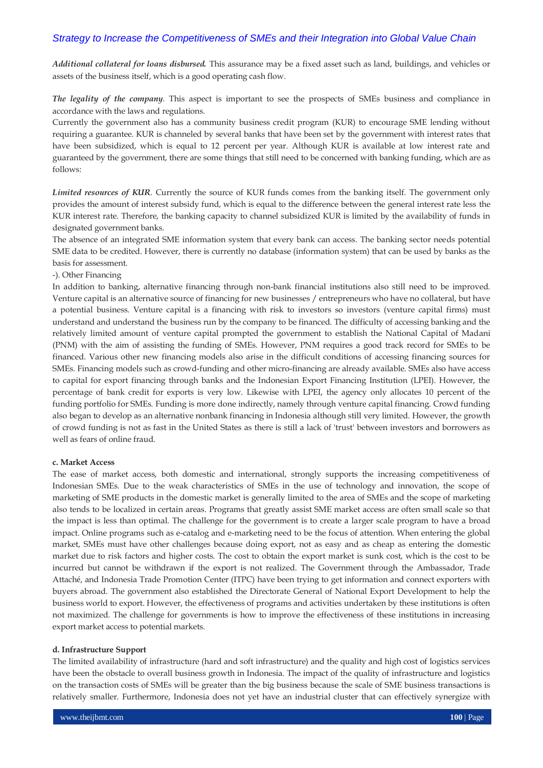*Additional collateral for loans disbursed.* This assurance may be a fixed asset such as land, buildings, and vehicles or assets of the business itself, which is a good operating cash flow.

*The legality of the company*. This aspect is important to see the prospects of SMEs business and compliance in accordance with the laws and regulations.

Currently the government also has a community business credit program (KUR) to encourage SME lending without requiring a guarantee. KUR is channeled by several banks that have been set by the government with interest rates that have been subsidized, which is equal to 12 percent per year. Although KUR is available at low interest rate and guaranteed by the government, there are some things that still need to be concerned with banking funding, which are as follows:

*Limited resources of KUR*. Currently the source of KUR funds comes from the banking itself. The government only provides the amount of interest subsidy fund, which is equal to the difference between the general interest rate less the KUR interest rate. Therefore, the banking capacity to channel subsidized KUR is limited by the availability of funds in designated government banks.

The absence of an integrated SME information system that every bank can access. The banking sector needs potential SME data to be credited. However, there is currently no database (information system) that can be used by banks as the basis for assessment.

#### -). Other Financing

In addition to banking, alternative financing through non-bank financial institutions also still need to be improved. Venture capital is an alternative source of financing for new businesses / entrepreneurs who have no collateral, but have a potential business. Venture capital is a financing with risk to investors so investors (venture capital firms) must understand and understand the business run by the company to be financed. The difficulty of accessing banking and the relatively limited amount of venture capital prompted the government to establish the National Capital of Madani (PNM) with the aim of assisting the funding of SMEs. However, PNM requires a good track record for SMEs to be financed. Various other new financing models also arise in the difficult conditions of accessing financing sources for SMEs. Financing models such as crowd-funding and other micro-financing are already available. SMEs also have access to capital for export financing through banks and the Indonesian Export Financing Institution (LPEI). However, the percentage of bank credit for exports is very low. Likewise with LPEI, the agency only allocates 10 percent of the funding portfolio for SMEs. Funding is more done indirectly, namely through venture capital financing. Crowd funding also began to develop as an alternative nonbank financing in Indonesia although still very limited. However, the growth of crowd funding is not as fast in the United States as there is still a lack of 'trust' between investors and borrowers as well as fears of online fraud.

#### **c. Market Access**

The ease of market access, both domestic and international, strongly supports the increasing competitiveness of Indonesian SMEs. Due to the weak characteristics of SMEs in the use of technology and innovation, the scope of marketing of SME products in the domestic market is generally limited to the area of SMEs and the scope of marketing also tends to be localized in certain areas. Programs that greatly assist SME market access are often small scale so that the impact is less than optimal. The challenge for the government is to create a larger scale program to have a broad impact. Online programs such as e-catalog and e-marketing need to be the focus of attention. When entering the global market, SMEs must have other challenges because doing export, not as easy and as cheap as entering the domestic market due to risk factors and higher costs. The cost to obtain the export market is sunk cost, which is the cost to be incurred but cannot be withdrawn if the export is not realized. The Government through the Ambassador, Trade Attaché, and Indonesia Trade Promotion Center (ITPC) have been trying to get information and connect exporters with buyers abroad. The government also established the Directorate General of National Export Development to help the business world to export. However, the effectiveness of programs and activities undertaken by these institutions is often not maximized. The challenge for governments is how to improve the effectiveness of these institutions in increasing export market access to potential markets.

#### **d. Infrastructure Support**

The limited availability of infrastructure (hard and soft infrastructure) and the quality and high cost of logistics services have been the obstacle to overall business growth in Indonesia. The impact of the quality of infrastructure and logistics on the transaction costs of SMEs will be greater than the big business because the scale of SME business transactions is relatively smaller. Furthermore, Indonesia does not yet have an industrial cluster that can effectively synergize with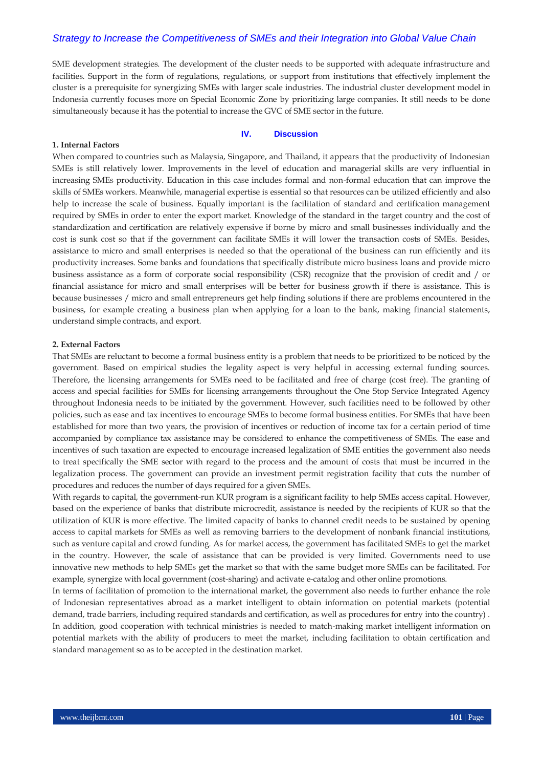SME development strategies. The development of the cluster needs to be supported with adequate infrastructure and facilities. Support in the form of regulations, regulations, or support from institutions that effectively implement the cluster is a prerequisite for synergizing SMEs with larger scale industries. The industrial cluster development model in Indonesia currently focuses more on Special Economic Zone by prioritizing large companies. It still needs to be done simultaneously because it has the potential to increase the GVC of SME sector in the future.

#### **IV. Discussion**

#### **1. Internal Factors**

When compared to countries such as Malaysia, Singapore, and Thailand, it appears that the productivity of Indonesian SMEs is still relatively lower. Improvements in the level of education and managerial skills are very influential in increasing SMEs productivity. Education in this case includes formal and non-formal education that can improve the skills of SMEs workers. Meanwhile, managerial expertise is essential so that resources can be utilized efficiently and also help to increase the scale of business. Equally important is the facilitation of standard and certification management required by SMEs in order to enter the export market. Knowledge of the standard in the target country and the cost of standardization and certification are relatively expensive if borne by micro and small businesses individually and the cost is sunk cost so that if the government can facilitate SMEs it will lower the transaction costs of SMEs. Besides, assistance to micro and small enterprises is needed so that the operational of the business can run efficiently and its productivity increases. Some banks and foundations that specifically distribute micro business loans and provide micro business assistance as a form of corporate social responsibility (CSR) recognize that the provision of credit and / or financial assistance for micro and small enterprises will be better for business growth if there is assistance. This is because businesses / micro and small entrepreneurs get help finding solutions if there are problems encountered in the business, for example creating a business plan when applying for a loan to the bank, making financial statements, understand simple contracts, and export.

#### **2. External Factors**

That SMEs are reluctant to become a formal business entity is a problem that needs to be prioritized to be noticed by the government. Based on empirical studies the legality aspect is very helpful in accessing external funding sources. Therefore, the licensing arrangements for SMEs need to be facilitated and free of charge (cost free). The granting of access and special facilities for SMEs for licensing arrangements throughout the One Stop Service Integrated Agency throughout Indonesia needs to be initiated by the government. However, such facilities need to be followed by other policies, such as ease and tax incentives to encourage SMEs to become formal business entities. For SMEs that have been established for more than two years, the provision of incentives or reduction of income tax for a certain period of time accompanied by compliance tax assistance may be considered to enhance the competitiveness of SMEs. The ease and incentives of such taxation are expected to encourage increased legalization of SME entities the government also needs to treat specifically the SME sector with regard to the process and the amount of costs that must be incurred in the legalization process. The government can provide an investment permit registration facility that cuts the number of procedures and reduces the number of days required for a given SMEs.

With regards to capital, the government-run KUR program is a significant facility to help SMEs access capital. However, based on the experience of banks that distribute microcredit, assistance is needed by the recipients of KUR so that the utilization of KUR is more effective. The limited capacity of banks to channel credit needs to be sustained by opening access to capital markets for SMEs as well as removing barriers to the development of nonbank financial institutions, such as venture capital and crowd funding. As for market access, the government has facilitated SMEs to get the market in the country. However, the scale of assistance that can be provided is very limited. Governments need to use innovative new methods to help SMEs get the market so that with the same budget more SMEs can be facilitated. For example, synergize with local government (cost-sharing) and activate e-catalog and other online promotions.

In terms of facilitation of promotion to the international market, the government also needs to further enhance the role of Indonesian representatives abroad as a market intelligent to obtain information on potential markets (potential demand, trade barriers, including required standards and certification, as well as procedures for entry into the country) . In addition, good cooperation with technical ministries is needed to match-making market intelligent information on potential markets with the ability of producers to meet the market, including facilitation to obtain certification and standard management so as to be accepted in the destination market.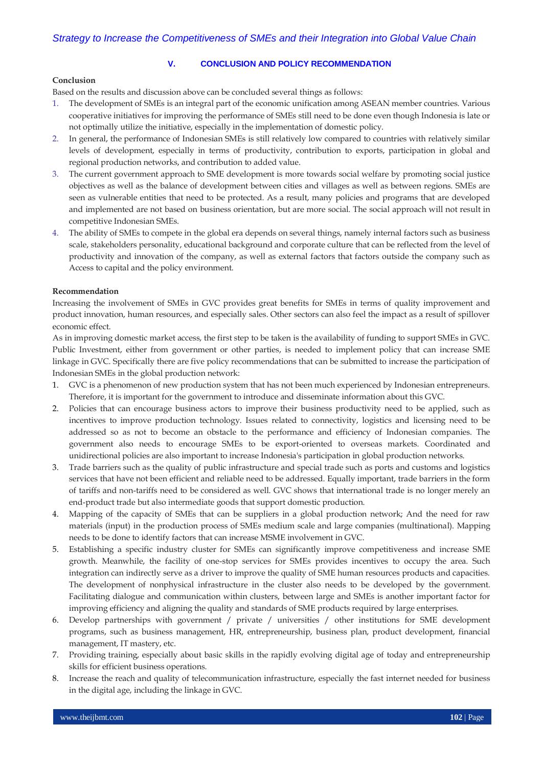#### **V. CONCLUSION AND POLICY RECOMMENDATION**

#### **Conclusion**

Based on the results and discussion above can be concluded several things as follows:

- 1. The development of SMEs is an integral part of the economic unification among ASEAN member countries. Various cooperative initiatives for improving the performance of SMEs still need to be done even though Indonesia is late or not optimally utilize the initiative, especially in the implementation of domestic policy.
- 2. In general, the performance of Indonesian SMEs is still relatively low compared to countries with relatively similar levels of development, especially in terms of productivity, contribution to exports, participation in global and regional production networks, and contribution to added value.
- 3. The current government approach to SME development is more towards social welfare by promoting social justice objectives as well as the balance of development between cities and villages as well as between regions. SMEs are seen as vulnerable entities that need to be protected. As a result, many policies and programs that are developed and implemented are not based on business orientation, but are more social. The social approach will not result in competitive Indonesian SMEs.
- 4. The ability of SMEs to compete in the global era depends on several things, namely internal factors such as business scale, stakeholders personality, educational background and corporate culture that can be reflected from the level of productivity and innovation of the company, as well as external factors that factors outside the company such as Access to capital and the policy environment.

#### **Recommendation**

Increasing the involvement of SMEs in GVC provides great benefits for SMEs in terms of quality improvement and product innovation, human resources, and especially sales. Other sectors can also feel the impact as a result of spillover economic effect.

As in improving domestic market access, the first step to be taken is the availability of funding to support SMEs in GVC. Public Investment, either from government or other parties, is needed to implement policy that can increase SME linkage in GVC. Specifically there are five policy recommendations that can be submitted to increase the participation of Indonesian SMEs in the global production network:

- 1. GVC is a phenomenon of new production system that has not been much experienced by Indonesian entrepreneurs. Therefore, it is important for the government to introduce and disseminate information about this GVC.
- 2. Policies that can encourage business actors to improve their business productivity need to be applied, such as incentives to improve production technology. Issues related to connectivity, logistics and licensing need to be addressed so as not to become an obstacle to the performance and efficiency of Indonesian companies. The government also needs to encourage SMEs to be export-oriented to overseas markets. Coordinated and unidirectional policies are also important to increase Indonesia's participation in global production networks.
- 3. Trade barriers such as the quality of public infrastructure and special trade such as ports and customs and logistics services that have not been efficient and reliable need to be addressed. Equally important, trade barriers in the form of tariffs and non-tariffs need to be considered as well. GVC shows that international trade is no longer merely an end-product trade but also intermediate goods that support domestic production.
- 4. Mapping of the capacity of SMEs that can be suppliers in a global production network; And the need for raw materials (input) in the production process of SMEs medium scale and large companies (multinational). Mapping needs to be done to identify factors that can increase MSME involvement in GVC.
- 5. Establishing a specific industry cluster for SMEs can significantly improve competitiveness and increase SME growth. Meanwhile, the facility of one-stop services for SMEs provides incentives to occupy the area. Such integration can indirectly serve as a driver to improve the quality of SME human resources products and capacities. The development of nonphysical infrastructure in the cluster also needs to be developed by the government. Facilitating dialogue and communication within clusters, between large and SMEs is another important factor for improving efficiency and aligning the quality and standards of SME products required by large enterprises.
- 6. Develop partnerships with government / private / universities / other institutions for SME development programs, such as business management, HR, entrepreneurship, business plan, product development, financial management, IT mastery, etc.
- 7. Providing training, especially about basic skills in the rapidly evolving digital age of today and entrepreneurship skills for efficient business operations.
- 8. Increase the reach and quality of telecommunication infrastructure, especially the fast internet needed for business in the digital age, including the linkage in GVC.